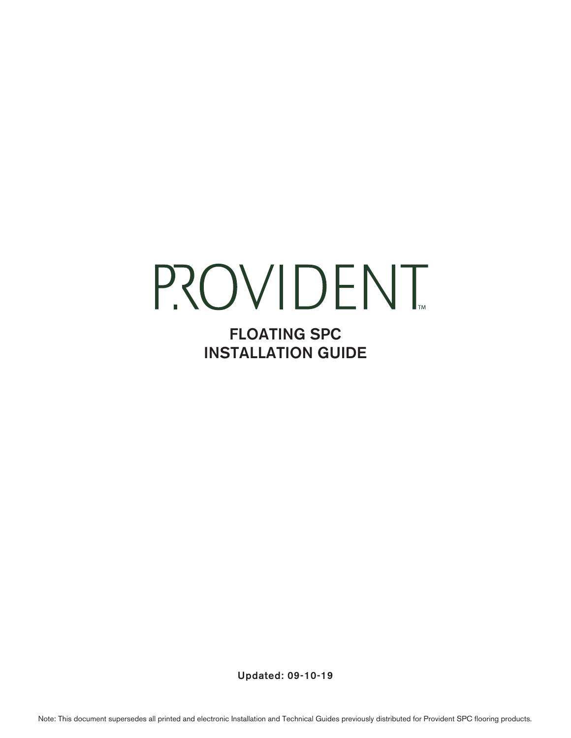# PROVIDENT.

FLOATING SPC INSTALLATION GUIDE

Updated: 09-10-19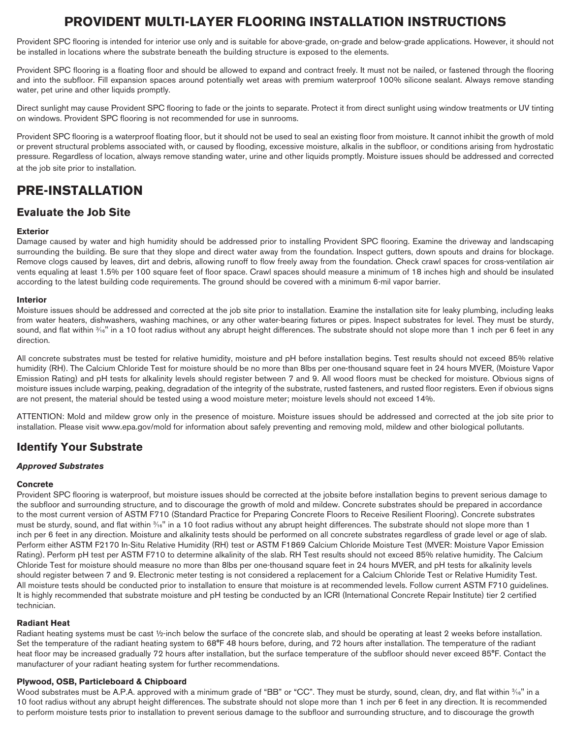# **PROVIDENT MULTI-LAYER FLOORING INSTALLATION INSTRUCTIONS**

Provident SPC flooring is intended for interior use only and is suitable for above-grade, on-grade and below-grade applications. However, it should not be installed in locations where the substrate beneath the building structure is exposed to the elements.

Provident SPC flooring is a floating floor and should be allowed to expand and contract freely. It must not be nailed, or fastened through the flooring and into the subfloor. Fill expansion spaces around potentially wet areas with premium waterproof 100% silicone sealant. Always remove standing water, pet urine and other liquids promptly.

Direct sunlight may cause Provident SPC flooring to fade or the joints to separate. Protect it from direct sunlight using window treatments or UV tinting on windows. Provident SPC flooring is not recommended for use in sunrooms.

Provident SPC flooring is a waterproof floating floor, but it should not be used to seal an existing floor from moisture. It cannot inhibit the growth of mold or prevent structural problems associated with, or caused by flooding, excessive moisture, alkalis in the subfloor, or conditions arising from hydrostatic pressure. Regardless of location, always remove standing water, urine and other liquids promptly. Moisture issues should be addressed and corrected at the job site prior to installation.

# **PRE-INSTALLATION**

## **Evaluate the Job Site**

#### **Exterior**

Damage caused by water and high humidity should be addressed prior to installing Provident SPC flooring. Examine the driveway and landscaping surrounding the building. Be sure that they slope and direct water away from the foundation. Inspect gutters, down spouts and drains for blockage. Remove clogs caused by leaves, dirt and debris, allowing runoff to flow freely away from the foundation. Check crawl spaces for cross-ventilation air vents equaling at least 1.5% per 100 square feet of floor space. Crawl spaces should measure a minimum of 18 inches high and should be insulated according to the latest building code requirements. The ground should be covered with a minimum 6-mil vapor barrier.

#### **Interior**

Moisture issues should be addressed and corrected at the job site prior to installation. Examine the installation site for leaky plumbing, including leaks from water heaters, dishwashers, washing machines, or any other water-bearing fixtures or pipes. Inspect substrates for level. They must be sturdy, sound, and flat within  $\%$ s" in a 10 foot radius without any abrupt height differences. The substrate should not slope more than 1 inch per 6 feet in any direction.

All concrete substrates must be tested for relative humidity, moisture and pH before installation begins. Test results should not exceed 85% relative humidity (RH). The Calcium Chloride Test for moisture should be no more than 8lbs per one-thousand square feet in 24 hours MVER, (Moisture Vapor Emission Rating) and pH tests for alkalinity levels should register between 7 and 9. All wood floors must be checked for moisture. Obvious signs of moisture issues include warping, peaking, degradation of the integrity of the substrate, rusted fasteners, and rusted floor registers. Even if obvious signs are not present, the material should be tested using a wood moisture meter; moisture levels should not exceed 14%.

ATTENTION: Mold and mildew grow only in the presence of moisture. Moisture issues should be addressed and corrected at the job site prior to installation. Please visit www.epa.gov/mold for information about safely preventing and removing mold, mildew and other biological pollutants.

## **Identify Your Substrate**

#### *Approved Substrates*

#### **Concrete**

Provident SPC flooring is waterproof, but moisture issues should be corrected at the jobsite before installation begins to prevent serious damage to the subfloor and surrounding structure, and to discourage the growth of mold and mildew. Concrete substrates should be prepared in accordance to the most current version of ASTM F710 (Standard Practice for Preparing Concrete Floors to Receive Resilient Flooring). Concrete substrates must be sturdy, sound, and flat within <sup>3</sup>/16" in a 10 foot radius without any abrupt height differences. The substrate should not slope more than 1 inch per 6 feet in any direction. Moisture and alkalinity tests should be performed on all concrete substrates regardless of grade level or age of slab. Perform either ASTM F2170 In-Situ Relative Humidity (RH) test or ASTM F1869 Calcium Chloride Moisture Test (MVER: Moisture Vapor Emission Rating). Perform pH test per ASTM F710 to determine alkalinity of the slab. RH Test results should not exceed 85% relative humidity. The Calcium Chloride Test for moisture should measure no more than 8lbs per one-thousand square feet in 24 hours MVER, and pH tests for alkalinity levels should register between 7 and 9. Electronic meter testing is not considered a replacement for a Calcium Chloride Test or Relative Humidity Test. All moisture tests should be conducted prior to installation to ensure that moisture is at recommended levels. Follow current ASTM F710 guidelines. It is highly recommended that substrate moisture and pH testing be conducted by an ICRI (International Concrete Repair Institute) tier 2 certified technician.

#### **Radiant Heat**

Radiant heating systems must be cast 1/2-inch below the surface of the concrete slab, and should be operating at least 2 weeks before installation. Set the temperature of the radiant heating system to 68°F 48 hours before, during, and 72 hours after installation. The temperature of the radiant heat floor may be increased gradually 72 hours after installation, but the surface temperature of the subfloor should never exceed 85°F. Contact the manufacturer of your radiant heating system for further recommendations.

#### **Plywood, OSB, Particleboard & Chipboard**

Wood substrates must be A.P.A. approved with a minimum grade of "BB" or "CC". They must be sturdy, sound, clean, dry, and flat within  $\frac{9}{16}$ " in a 10 foot radius without any abrupt height differences. The substrate should not slope more than 1 inch per 6 feet in any direction. It is recommended to perform moisture tests prior to installation to prevent serious damage to the subfloor and surrounding structure, and to discourage the growth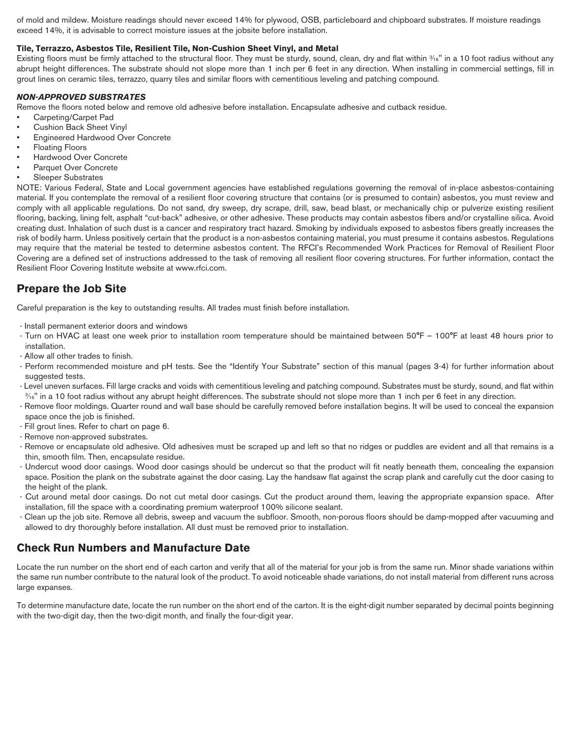of mold and mildew. Moisture readings should never exceed 14% for plywood, OSB, particleboard and chipboard substrates. If moisture readings exceed 14%, it is advisable to correct moisture issues at the jobsite before installation.

#### **Tile, Terrazzo, Asbestos Tile, Resilient Tile, Non-Cushion Sheet Vinyl, and Metal**

Existing floors must be firmly attached to the structural floor. They must be sturdy, sound, clean, dry and flat within 3 ⁄16" in a 10 foot radius without any abrupt height differences. The substrate should not slope more than 1 inch per 6 feet in any direction. When installing in commercial settings, fill in grout lines on ceramic tiles, terrazzo, quarry tiles and similar floors with cementitious leveling and patching compound.

#### *NON-APPROVED SUBSTRATES*

Remove the floors noted below and remove old adhesive before installation. Encapsulate adhesive and cutback residue.

- Carpeting/Carpet Pad
- Cushion Back Sheet Vinyl
- Engineered Hardwood Over Concrete
- Floating Floors
- Hardwood Over Concrete
- Parquet Over Concrete
- Sleeper Substrates

NOTE: Various Federal, State and Local government agencies have established regulations governing the removal of in-place asbestos-containing material. If you contemplate the removal of a resilient floor covering structure that contains (or is presumed to contain) asbestos, you must review and comply with all applicable regulations. Do not sand, dry sweep, dry scrape, drill, saw, bead blast, or mechanically chip or pulverize existing resilient flooring, backing, lining felt, asphalt "cut-back" adhesive, or other adhesive. These products may contain asbestos fibers and/or crystalline silica. Avoid creating dust. Inhalation of such dust is a cancer and respiratory tract hazard. Smoking by individuals exposed to asbestos fibers greatly increases the risk of bodily harm. Unless positively certain that the product is a non-asbestos containing material, you must presume it contains asbestos. Regulations may require that the material be tested to determine asbestos content. The RFCI's Recommended Work Practices for Removal of Resilient Floor Covering are a defined set of instructions addressed to the task of removing all resilient floor covering structures. For further information, contact the Resilient Floor Covering Institute website at www.rfci.com.

## **Prepare the Job Site**

Careful preparation is the key to outstanding results. All trades must finish before installation.

- Install permanent exterior doors and windows
- Turn on HVAC at least one week prior to installation room temperature should be maintained between 50°F 100°F at least 48 hours prior to installation.
- Allow all other trades to finish.
- Perform recommended moisture and pH tests. See the "Identify Your Substrate" section of this manual (pages 3-4) for further information about suggested tests.
- Level uneven surfaces. Fill large cracks and voids with cementitious leveling and patching compound. Substrates must be sturdy, sound, and flat within  $\frac{1}{16}$ " in a 10 foot radius without any abrupt height differences. The substrate should not slope more than 1 inch per 6 feet in any direction.
- Remove floor moldings. Quarter round and wall base should be carefully removed before installation begins. It will be used to conceal the expansion space once the job is finished.
- Fill grout lines. Refer to chart on page 6.
- Remove non-approved substrates.
- Remove or encapsulate old adhesive. Old adhesives must be scraped up and left so that no ridges or puddles are evident and all that remains is a thin, smooth film. Then, encapsulate residue.
- Undercut wood door casings. Wood door casings should be undercut so that the product will fit neatly beneath them, concealing the expansion space. Position the plank on the substrate against the door casing. Lay the handsaw flat against the scrap plank and carefully cut the door casing to the height of the plank.
- Cut around metal door casings. Do not cut metal door casings. Cut the product around them, leaving the appropriate expansion space. After installation, fill the space with a coordinating premium waterproof 100% silicone sealant.
- Clean up the job site. Remove all debris, sweep and vacuum the subfloor. Smooth, non-porous floors should be damp-mopped after vacuuming and allowed to dry thoroughly before installation. All dust must be removed prior to installation.

## **Check Run Numbers and Manufacture Date**

Locate the run number on the short end of each carton and verify that all of the material for your job is from the same run. Minor shade variations within the same run number contribute to the natural look of the product. To avoid noticeable shade variations, do not install material from different runs across large expanses.

To determine manufacture date, locate the run number on the short end of the carton. It is the eight-digit number separated by decimal points beginning with the two-digit day, then the two-digit month, and finally the four-digit year.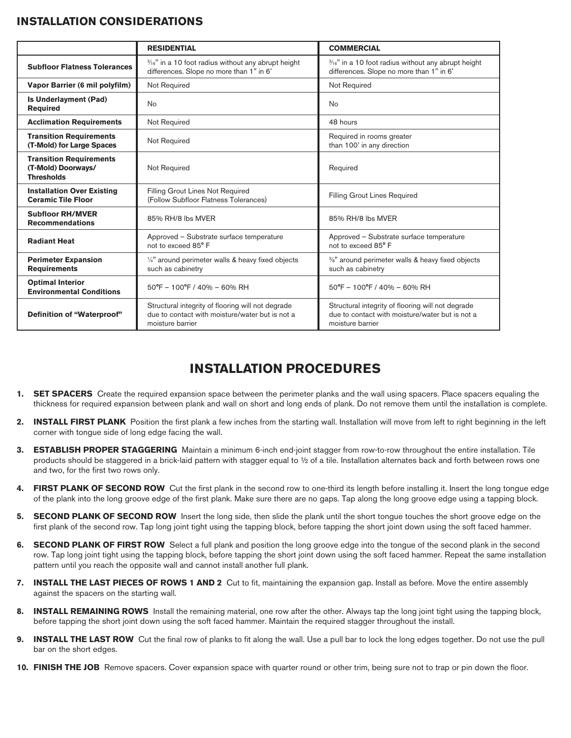## **INSTALLATION CONSIDERATIONS**

|                                                                           | <b>RESIDENTIAL</b>                                                                                                       | <b>COMMERCIAL</b>                                                                                                        |
|---------------------------------------------------------------------------|--------------------------------------------------------------------------------------------------------------------------|--------------------------------------------------------------------------------------------------------------------------|
| <b>Subfloor Flatness Tolerances</b>                                       | % <sup>3/16</sup> " in a 10 foot radius without any abrupt height<br>differences. Slope no more than 1" in 6'            | % <sup>8</sup> /16" in a 10 foot radius without any abrupt height<br>differences. Slope no more than 1" in 6'            |
| Vapor Barrier (6 mil polyfilm)                                            | Not Required                                                                                                             | Not Required                                                                                                             |
| <b>Is Underlayment (Pad)</b><br><b>Required</b>                           | No                                                                                                                       | <b>No</b>                                                                                                                |
| <b>Acclimation Requirements</b>                                           | Not Required                                                                                                             | 48 hours                                                                                                                 |
| <b>Transition Requirements</b><br>(T-Mold) for Large Spaces               | Not Required                                                                                                             | Required in rooms greater<br>than 100' in any direction                                                                  |
| <b>Transition Requirements</b><br>(T-Mold) Doorways/<br><b>Thresholds</b> | Not Required                                                                                                             | Required                                                                                                                 |
| <b>Installation Over Existing</b><br><b>Ceramic Tile Floor</b>            | Filling Grout Lines Not Required<br>(Follow Subfloor Flatness Tolerances)                                                | <b>Filling Grout Lines Required</b>                                                                                      |
| <b>Subfloor RH/MVER</b><br><b>Recommendations</b>                         | 85% RH/8 lbs MVER                                                                                                        | 85% RH/8 lbs MVER                                                                                                        |
| <b>Radiant Heat</b>                                                       | Approved - Substrate surface temperature<br>not to exceed 85° F                                                          | Approved - Substrate surface temperature<br>not to exceed 85° F                                                          |
| <b>Perimeter Expansion</b><br><b>Requirements</b>                         | 1/4" around perimeter walls & heavy fixed objects<br>such as cabinetry                                                   | %" around perimeter walls & heavy fixed objects<br>such as cabinetry                                                     |
| <b>Optimal Interior</b><br><b>Environmental Conditions</b>                | $50^{\circ}F - 100^{\circ}F / 40\% - 60\% RH$                                                                            | $50^{\circ}$ F - 100°F / 40% - 60% RH                                                                                    |
| <b>Definition of "Waterproof"</b>                                         | Structural integrity of flooring will not degrade<br>due to contact with moisture/water but is not a<br>moisture barrier | Structural integrity of flooring will not degrade<br>due to contact with moisture/water but is not a<br>moisture barrier |

# **INSTALLATION PROCEDURES**

- **1. SET SPACERS** Create the required expansion space between the perimeter planks and the wall using spacers. Place spacers equaling the thickness for required expansion between plank and wall on short and long ends of plank. Do not remove them until the installation is complete.
- **2. INSTALL FIRST PLANK** Position the first plank a few inches from the starting wall. Installation will move from left to right beginning in the left corner with tongue side of long edge facing the wall.
- **3. ESTABLISH PROPER STAGGERING** Maintain a minimum 6-inch end-joint stagger from row-to-row throughout the entire installation. Tile products should be staggered in a brick-laid pattern with stagger equal to ½ of a tile. Installation alternates back and forth between rows one and two, for the first two rows only.
- **4. FIRST PLANK OF SECOND ROW** Cut the first plank in the second row to one-third its length before installing it. Insert the long tongue edge of the plank into the long groove edge of the first plank. Make sure there are no gaps. Tap along the long groove edge using a tapping block.
- **5. SECOND PLANK OF SECOND ROW** Insert the long side, then slide the plank until the short tongue touches the short groove edge on the first plank of the second row. Tap long joint tight using the tapping block, before tapping the short joint down using the soft faced hammer.
- **6. SECOND PLANK OF FIRST ROW** Select a full plank and position the long groove edge into the tongue of the second plank in the second row. Tap long joint tight using the tapping block, before tapping the short joint down using the soft faced hammer. Repeat the same installation pattern until you reach the opposite wall and cannot install another full plank.
- **7. INSTALL THE LAST PIECES OF ROWS 1 AND 2** Cut to fit, maintaining the expansion gap. Install as before. Move the entire assembly against the spacers on the starting wall.
- **8. INSTALL REMAINING ROWS** Install the remaining material, one row after the other. Always tap the long joint tight using the tapping block, before tapping the short joint down using the soft faced hammer. Maintain the required stagger throughout the install.
- **9. INSTALL THE LAST ROW** Cut the final row of planks to fit along the wall. Use a pull bar to lock the long edges together. Do not use the pull bar on the short edges.
- **10. FINISH THE JOB** Remove spacers. Cover expansion space with quarter round or other trim, being sure not to trap or pin down the floor.